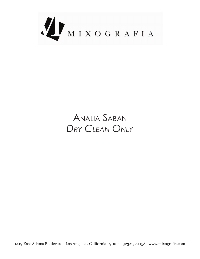

# ANALIA SABAN *Only Clean Dry*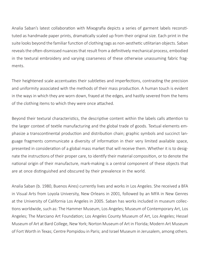tuted as handmade paper prints, dramatically scaled up from their original size. Each print in the Analia Saban's latest collaboration with Mixografia depicts a series of garment labels reconstisuite looks beyond the familiar function of clothing tags as non-aesthetic utilitarian objects. Saban reveals the often-dismissed nuances that result from a definitively mechanical process, embodied in the textural embroidery and varying coarseness of these otherwise unassuming fabric frag-<br>ments.

Their heightened scale accentuates their subtleties and imperfections, contrasting the precision and uniformity associated with the methods of their mass production. A human touch is evident in the ways in which they are worn down, frayed at the edges, and hastily severed from the hems of the clothing items to which they were once attached.

Beyond their textural characteristics, the descriptive content within the labels calls attention to phasize a transcontinental production and distribution chain; graphic symbols and succinct lan-<br>guage fragments communicate a diversity of information in their very limited available space, the larger context of textile manufacturing and the global trade of goods. Textual elements em-<br>phasize a transcontinental production and distribution chain; graphic symbols and succinct lanthe larger context of textile manufacturing and the global trade of goods. Textual elements emnate the instructions of their proper care, to identify their material composition, or to denote the presented in consideration of a global mass market that will receive them. Whether it is to designational origin of their manufacture, mark-making is a central component of these objects that are at once distinguished and obscured by their prevalence in the world.

Analia Saban (b. 1980, Buenos Aires) currently lives and works in Los Angeles. She received a BFA in Visual Arts from Loyola University, New Orleans in 2001, followed by an MFA in New Genres tions worldwide, such as: The Hammer Museum, Los Angeles; Museum of Contemporary Art, Los at the University of California Los Angeles in 2005. Saban has works included in museum collec-Angeles; The Marciano Art Foundation; Los Angeles County Museum of Art, Los Angeles; Hessel Museum of Art at Bard College, New York; Norton Museum of Art in Florida; Modern Art Museum of Fort Worth in Texas; Centre Pompidou in Paris; and Israel Museum in Jerusalem, among others.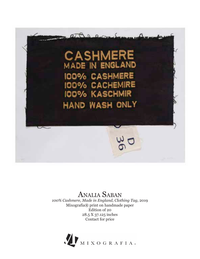

100% Cashmere, Made in England, Clothing Tag, 2019 Mixografía® print on handmade paper Edition of 20 28.5 X 37.125 inches Contact for price

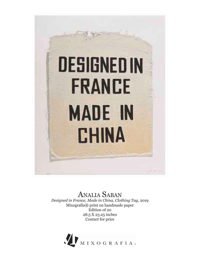

Designed in France, Made in China, Clothing Tag, 2019 Mixografía® print on handmade paper Edition of 20 28.5 X 23.25 inches Contact for price

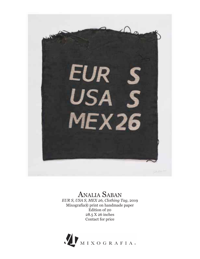

EUR S, USA S, MEX 26, Clothing Tag, 2019 Mixografía® print on handmade paper Edition of 20 28.5 X 26 inches Contact for price

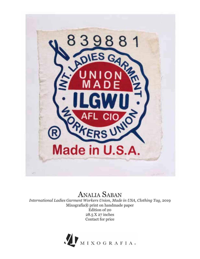

International Ladies Garment Workers Union, Made in USA, Clothing Tag, 2019 Mixografía® print on handmade paper Edition of 20 28.5 X 27 inches Contact for price

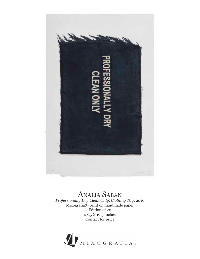

Professionally Dry Clean Only, Clothing Tag, 2019 Mixografía® print on handmade paper Edition of 20 28.5 X 19.5 inches Contact for price

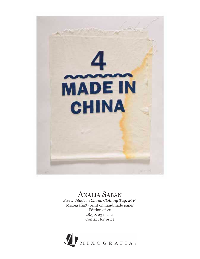

Size 4, Made in China, Clothing Tag, 2019 Mixografía® print on handmade paper Edition of 20  $28.5 X 23$  inches Contact for price

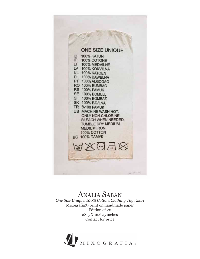#### **ONE SIZE UNIQUE 100% KATUN** ID  $IT$ 100% COTONE LT 100% MEDVILNÉ LV 100% KOKVILNA NL 100% KATOEN PL 100% BAWELNA PT 100% ALGODÃO RO 100% BUMBAC RS 100% PAMUK SE 100% BOMULL SI 100% BOMBAŽ SK 100% BAVLNA **TR %100 PAMUK** US MACHINE WASH HOT. **ONLY NON-CHLORINE** BLEACH WHEN NEEDED. TUMBLE DRY MEDIUM. **MEDIUM IRON.** 100% COTTON **BG 100% ΠΑΜΥΚ**  $\mathbb{X} \odot \pi$  $\overline{60}$

### ANALIA SABAN

One Size Unique, 100% Cotton, Clothing Tag, 2019 Mixografía® print on handmade paper Edition of 20 28.5 X 16.625 inches Contact for price